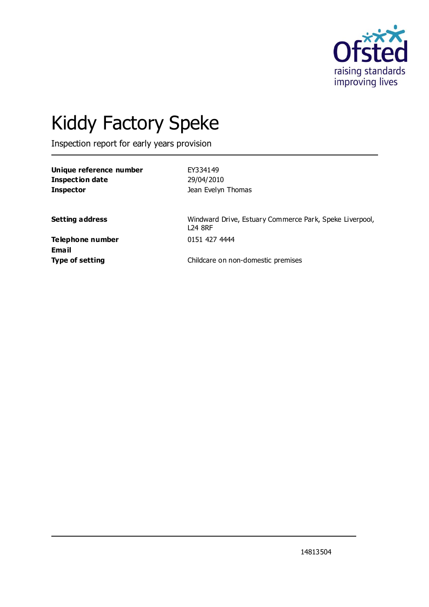

# Kiddy Factory Speke

Inspection report for early years provision

| Unique reference number | EY334149           |
|-------------------------|--------------------|
| Inspection date         | 29/04/2010         |
| <b>Inspector</b>        | Jean Evelyn Thomas |

**Setting address** Windward Drive, Estuary Commerce Park, Speke Liverpool, L24 8RF

**Telephone number** 0151 427 4444 **Email**

**Type of setting** Childcare on non-domestic premises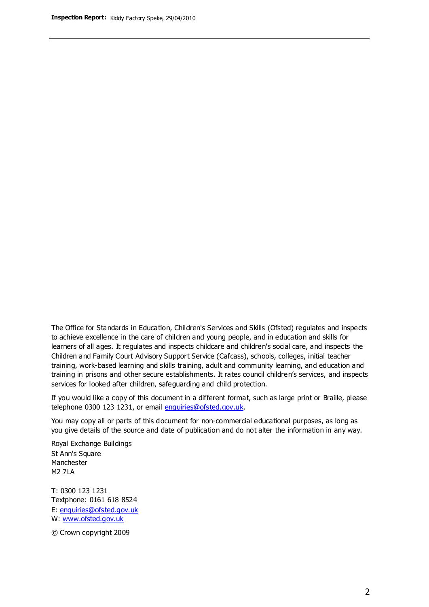The Office for Standards in Education, Children's Services and Skills (Ofsted) regulates and inspects to achieve excellence in the care of children and young people, and in education and skills for learners of all ages. It regulates and inspects childcare and children's social care, and inspects the Children and Family Court Advisory Support Service (Cafcass), schools, colleges, initial teacher training, work-based learning and skills training, adult and community learning, and education and training in prisons and other secure establishments. It rates council children's services, and inspects services for looked after children, safeguarding and child protection.

If you would like a copy of this document in a different format, such as large print or Braille, please telephone 0300 123 1231, or email enquiries@ofsted.gov.uk.

You may copy all or parts of this document for non-commercial educational purposes, as long as you give details of the source and date of publication and do not alter the information in any way.

Royal Exchange Buildings St Ann's Square Manchester M2 7LA

T: 0300 123 1231 Textphone: 0161 618 8524 E: enquiries@ofsted.gov.uk W: [www.ofsted.gov.uk](http://www.ofsted.gov.uk/)

© Crown copyright 2009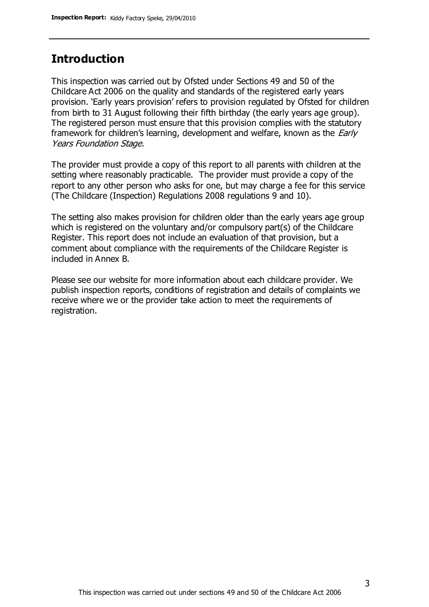#### **Introduction**

This inspection was carried out by Ofsted under Sections 49 and 50 of the Childcare Act 2006 on the quality and standards of the registered early years provision. 'Early years provision' refers to provision regulated by Ofsted for children from birth to 31 August following their fifth birthday (the early years age group). The registered person must ensure that this provision complies with the statutory framework for children's learning, development and welfare, known as the *Early* Years Foundation Stage.

The provider must provide a copy of this report to all parents with children at the setting where reasonably practicable. The provider must provide a copy of the report to any other person who asks for one, but may charge a fee for this service (The Childcare (Inspection) Regulations 2008 regulations 9 and 10).

The setting also makes provision for children older than the early years age group which is registered on the voluntary and/or compulsory part(s) of the Childcare Register. This report does not include an evaluation of that provision, but a comment about compliance with the requirements of the Childcare Register is included in Annex B.

Please see our website for more information about each childcare provider. We publish inspection reports, conditions of registration and details of complaints we receive where we or the provider take action to meet the requirements of registration.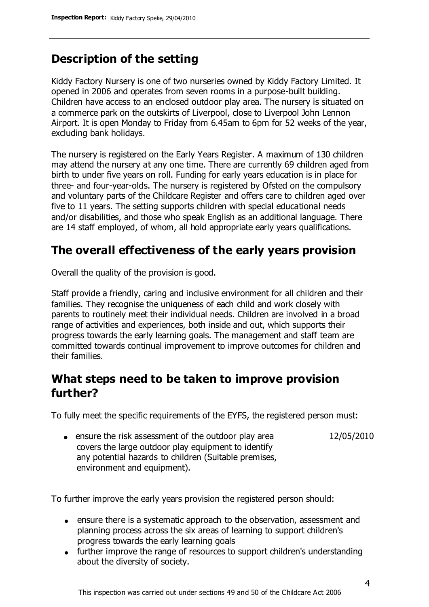## **Description of the setting**

Kiddy Factory Nursery is one of two nurseries owned by Kiddy Factory Limited. It opened in 2006 and operates from seven rooms in a purpose-built building. Children have access to an enclosed outdoor play area. The nursery is situated on a commerce park on the outskirts of Liverpool, close to Liverpool John Lennon Airport. It is open Monday to Friday from 6.45am to 6pm for 52 weeks of the year, excluding bank holidays.

The nursery is registered on the Early Years Register. A maximum of 130 children may attend the nursery at any one time. There are currently 69 children aged from birth to under five years on roll. Funding for early years education is in place for three- and four-year-olds. The nursery is registered by Ofsted on the compulsory and voluntary parts of the Childcare Register and offers care to children aged over five to 11 years. The setting supports children with special educational needs and/or disabilities, and those who speak English as an additional language. There are 14 staff employed, of whom, all hold appropriate early years qualifications.

## **The overall effectiveness of the early years provision**

Overall the quality of the provision is good.

Staff provide a friendly, caring and inclusive environment for all children and their families. They recognise the uniqueness of each child and work closely with parents to routinely meet their individual needs. Children are involved in a broad range of activities and experiences, both inside and out, which supports their progress towards the early learning goals. The management and staff team are committed towards continual improvement to improve outcomes for children and their families.

### **What steps need to be taken to improve provision further?**

To fully meet the specific requirements of the EYFS, the registered person must:

12/05/2010

• ensure the risk assessment of the outdoor play area covers the large outdoor play equipment to identify any potential hazards to children (Suitable premises, environment and equipment).

To further improve the early years provision the registered person should:

- ensure there is a systematic approach to the observation, assessment and planning process across the six areas of learning to support children's progress towards the early learning goals
- further improve the range of resources to support children's understanding about the diversity of society.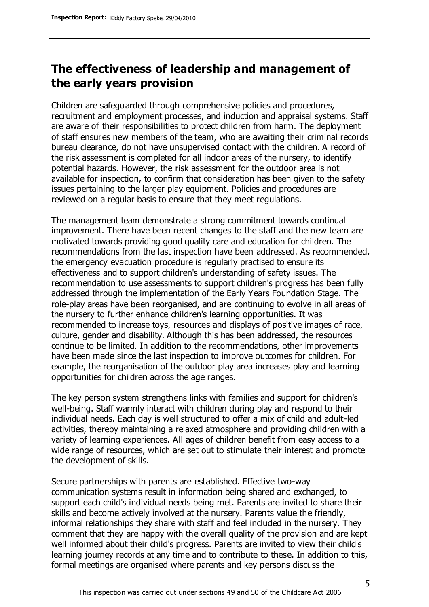## **The effectiveness of leadership and management of the early years provision**

Children are safeguarded through comprehensive policies and procedures, recruitment and employment processes, and induction and appraisal systems. Staff are aware of their responsibilities to protect children from harm. The deployment of staff ensures new members of the team, who are awaiting their criminal records bureau clearance, do not have unsupervised contact with the children. A record of the risk assessment is completed for all indoor areas of the nursery, to identify potential hazards. However, the risk assessment for the outdoor area is not available for inspection, to confirm that consideration has been given to the safety issues pertaining to the larger play equipment. Policies and procedures are reviewed on a regular basis to ensure that they meet regulations.

The management team demonstrate a strong commitment towards continual improvement. There have been recent changes to the staff and the new team are motivated towards providing good quality care and education for children. The recommendations from the last inspection have been addressed. As recommended, the emergency evacuation procedure is regularly practised to ensure its effectiveness and to support children's understanding of safety issues. The recommendation to use assessments to support children's progress has been fully addressed through the implementation of the Early Years Foundation Stage. The role-play areas have been reorganised, and are continuing to evolve in all areas of the nursery to further enhance children's learning opportunities. It was recommended to increase toys, resources and displays of positive images of race, culture, gender and disability. Although this has been addressed, the resources continue to be limited. In addition to the recommendations, other improvements have been made since the last inspection to improve outcomes for children. For example, the reorganisation of the outdoor play area increases play and learning opportunities for children across the age ranges.

The key person system strengthens links with families and support for children's well-being. Staff warmly interact with children during play and respond to their individual needs. Each day is well structured to offer a mix of child and adult-led activities, thereby maintaining a relaxed atmosphere and providing children with a variety of learning experiences. All ages of children benefit from easy access to a wide range of resources, which are set out to stimulate their interest and promote the development of skills.

Secure partnerships with parents are established. Effective two-way communication systems result in information being shared and exchanged, to support each child's individual needs being met. Parents are invited to share their skills and become actively involved at the nursery. Parents value the friendly, informal relationships they share with staff and feel included in the nursery. They comment that they are happy with the overall quality of the provision and are kept well informed about their child's progress. Parents are invited to view their child's learning journey records at any time and to contribute to these. In addition to this, formal meetings are organised where parents and key persons discuss the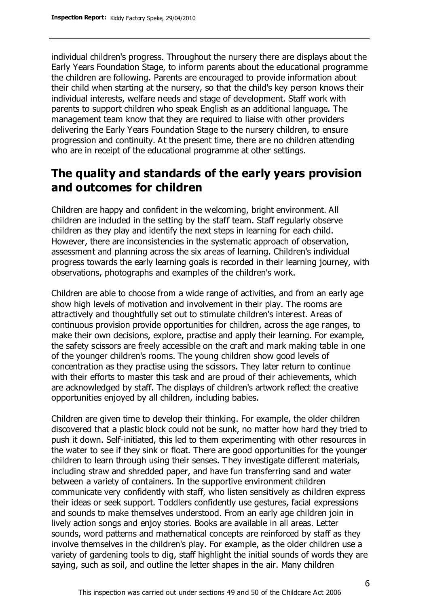individual children's progress. Throughout the nursery there are displays about the Early Years Foundation Stage, to inform parents about the educational programme the children are following. Parents are encouraged to provide information about their child when starting at the nursery, so that the child's key person knows their individual interests, welfare needs and stage of development. Staff work with parents to support children who speak English as an additional language. The management team know that they are required to liaise with other providers delivering the Early Years Foundation Stage to the nursery children, to ensure progression and continuity. At the present time, there are no children attending who are in receipt of the educational programme at other settings.

### **The quality and standards of the early years provision and outcomes for children**

Children are happy and confident in the welcoming, bright environment. All children are included in the setting by the staff team. Staff regularly observe children as they play and identify the next steps in learning for each child. However, there are inconsistencies in the systematic approach of observation, assessment and planning across the six areas of learning. Children's individual progress towards the early learning goals is recorded in their learning journey, with observations, photographs and examples of the children's work.

Children are able to choose from a wide range of activities, and from an early age show high levels of motivation and involvement in their play. The rooms are attractively and thoughtfully set out to stimulate children's interest. Areas of continuous provision provide opportunities for children, across the age ranges, to make their own decisions, explore, practise and apply their learning. For example, the safety scissors are freely accessible on the craft and mark making table in one of the younger children's rooms. The young children show good levels of concentration as they practise using the scissors. They later return to continue with their efforts to master this task and are proud of their achievements, which are acknowledged by staff. The displays of children's artwork reflect the creative opportunities enjoyed by all children, including babies.

Children are given time to develop their thinking. For example, the older children discovered that a plastic block could not be sunk, no matter how hard they tried to push it down. Self-initiated, this led to them experimenting with other resources in the water to see if they sink or float. There are good opportunities for the younger children to learn through using their senses. They investigate different materials, including straw and shredded paper, and have fun transferring sand and water between a variety of containers. In the supportive environment children communicate very confidently with staff, who listen sensitively as children express their ideas or seek support. Toddlers confidently use gestures, facial expressions and sounds to make themselves understood. From an early age children join in lively action songs and enjoy stories. Books are available in all areas. Letter sounds, word patterns and mathematical concepts are reinforced by staff as they involve themselves in the children's play. For example, as the older children use a variety of gardening tools to dig, staff highlight the initial sounds of words they are saying, such as soil, and outline the letter shapes in the air. Many children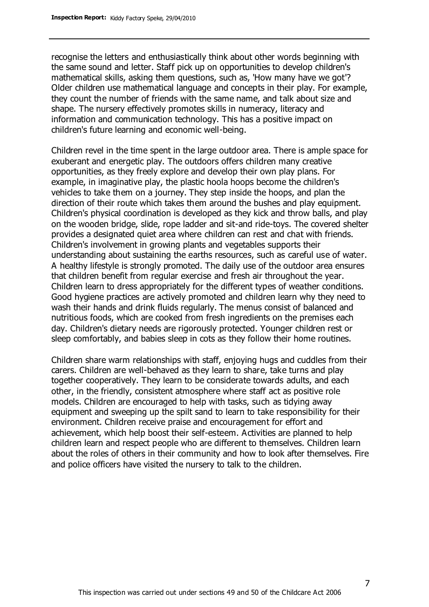recognise the letters and enthusiastically think about other words beginning with the same sound and letter. Staff pick up on opportunities to develop children's mathematical skills, asking them questions, such as, 'How many have we got'? Older children use mathematical language and concepts in their play. For example, they count the number of friends with the same name, and talk about size and shape. The nursery effectively promotes skills in numeracy, literacy and information and communication technology. This has a positive impact on children's future learning and economic well-being.

Children revel in the time spent in the large outdoor area. There is ample space for exuberant and energetic play. The outdoors offers children many creative opportunities, as they freely explore and develop their own play plans. For example, in imaginative play, the plastic hoola hoops become the children's vehicles to take them on a journey. They step inside the hoops, and plan the direction of their route which takes them around the bushes and play equipment. Children's physical coordination is developed as they kick and throw balls, and play on the wooden bridge, slide, rope ladder and sit-and ride-toys. The covered shelter provides a designated quiet area where children can rest and chat with friends. Children's involvement in growing plants and vegetables supports their understanding about sustaining the earths resources, such as careful use of water. A healthy lifestyle is strongly promoted. The daily use of the outdoor area ensures that children benefit from regular exercise and fresh air throughout the year. Children learn to dress appropriately for the different types of weather conditions. Good hygiene practices are actively promoted and children learn why they need to wash their hands and drink fluids regularly. The menus consist of balanced and nutritious foods, which are cooked from fresh ingredients on the premises each day. Children's dietary needs are rigorously protected. Younger children rest or sleep comfortably, and babies sleep in cots as they follow their home routines.

Children share warm relationships with staff, enjoying hugs and cuddles from their carers. Children are well-behaved as they learn to share, take turns and play together cooperatively. They learn to be considerate towards adults, and each other, in the friendly, consistent atmosphere where staff act as positive role models. Children are encouraged to help with tasks, such as tidying away equipment and sweeping up the spilt sand to learn to take responsibility for their environment. Children receive praise and encouragement for effort and achievement, which help boost their self-esteem. Activities are planned to help children learn and respect people who are different to themselves. Children learn about the roles of others in their community and how to look after themselves. Fire and police officers have visited the nursery to talk to the children.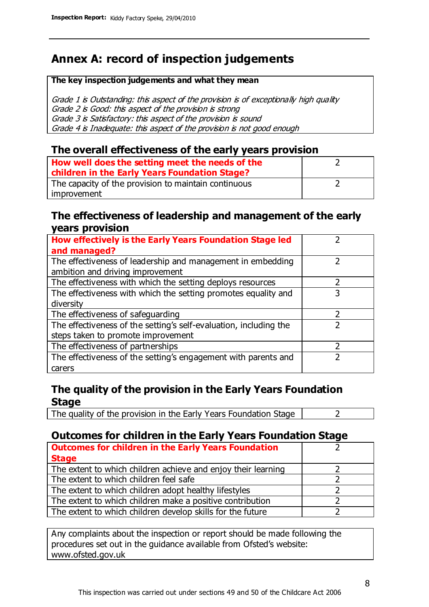## **Annex A: record of inspection judgements**

#### **The key inspection judgements and what they mean**

Grade 1 is Outstanding: this aspect of the provision is of exceptionally high quality Grade 2 is Good: this aspect of the provision is strong Grade 3 is Satisfactory: this aspect of the provision is sound Grade 4 is Inadequate: this aspect of the provision is not good enough

#### **The overall effectiveness of the early years provision**

| How well does the setting meet the needs of the<br>children in the Early Years Foundation Stage? |  |
|--------------------------------------------------------------------------------------------------|--|
| The capacity of the provision to maintain continuous                                             |  |
| improvement                                                                                      |  |

#### **The effectiveness of leadership and management of the early years provision**

| How effectively is the Early Years Foundation Stage led                                         |   |
|-------------------------------------------------------------------------------------------------|---|
| and managed?                                                                                    |   |
| The effectiveness of leadership and management in embedding<br>ambition and driving improvement |   |
| The effectiveness with which the setting deploys resources                                      |   |
| The effectiveness with which the setting promotes equality and                                  |   |
| diversity                                                                                       |   |
| The effectiveness of safeguarding                                                               | 2 |
| The effectiveness of the setting's self-evaluation, including the                               | 2 |
| steps taken to promote improvement                                                              |   |
| The effectiveness of partnerships                                                               |   |
| The effectiveness of the setting's engagement with parents and                                  |   |
| carers                                                                                          |   |

#### **The quality of the provision in the Early Years Foundation Stage**

The quality of the provision in the Early Years Foundation Stage  $\vert$  2

#### **Outcomes for children in the Early Years Foundation Stage**

| <b>Outcomes for children in the Early Years Foundation</b>    |  |
|---------------------------------------------------------------|--|
| <b>Stage</b>                                                  |  |
| The extent to which children achieve and enjoy their learning |  |
| The extent to which children feel safe                        |  |
| The extent to which children adopt healthy lifestyles         |  |
| The extent to which children make a positive contribution     |  |
| The extent to which children develop skills for the future    |  |

Any complaints about the inspection or report should be made following the procedures set out in the guidance available from Ofsted's website: www.ofsted.gov.uk